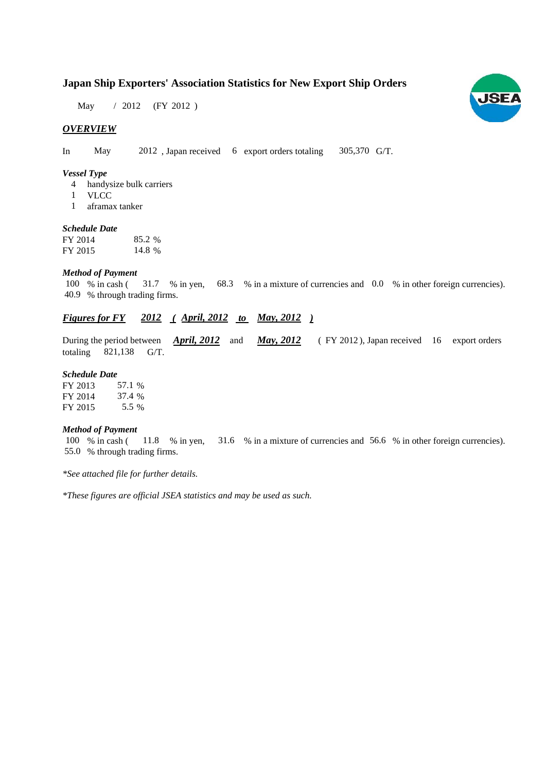# **Japan Ship Exporters' Association Statistics for New Export Ship Orders**

May / 2012 (FY 2012)

### *OVERVIEW*

In May 2012, Japan received 6 export orders totaling 305,370 G/T.

#### *Vessel Type*

- handysize bulk carriers 4
- VLCC 1
- aframax tanker 1

#### *Schedule Date*

| FY 2014 | 85.2 % |
|---------|--------|
| FY 2015 | 14.8 % |

#### *Method of Payment*

100 % in cash (31.7 % in yen, 68.3 % in a mixture of currencies and 0.0 % in other foreign currencies). % through trading firms. 40.9

# *Figures for FY* 2012 (*April, 2012 to May, 2012*)

During the period between  $\frac{April, 2012}{AD, 2012}$  and  $\frac{May, 2012}{AD, 2012}$  (FY 2012), Japan received 16 export orders totaling  $821,138$  G/T. *April, 2012 May, 2012*

#### *Schedule Date*

| FY 2013 | 57.1 % |
|---------|--------|
| FY 2014 | 37.4 % |
| FY 2015 | 5.5 %  |

#### *Method of Payment*

% in cash ( $\frac{11.8}{8}$  % in yen,  $\frac{31.6}{8}$  % in a mixture of currencies and 56.6 % in other foreign currencies). 55.0 % through trading firms. 100 % in cash (11.8 % in yen,

*\*See attached file for further details.*

*\*These figures are official JSEA statistics and may be used as such.*

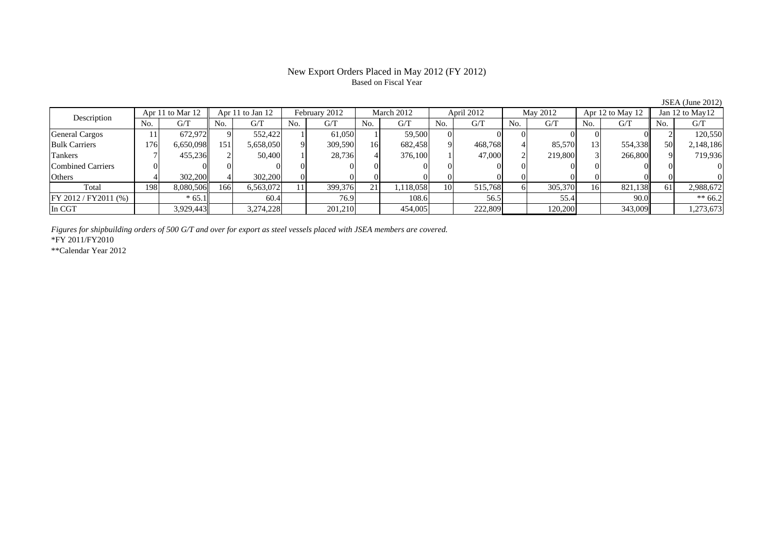## New Export Orders Placed in May 2012 (FY 2012) Based on Fiscal Year

| Description             |     | Apr 11 to Mar 12 |     | Apr 11 to Jan 12 |     | February 2012 |     | March 2012 |     | April 2012 |     | May 2012 |     | Apr 12 to May 12 |                 | Jan $12$ to May $12$ |
|-------------------------|-----|------------------|-----|------------------|-----|---------------|-----|------------|-----|------------|-----|----------|-----|------------------|-----------------|----------------------|
|                         | No. | G/T              | No. | G/T              | No. | G/T           | No. | G/T        | No. | G/T        | No. | G/T      | No. | G/T              | No.             | G/T                  |
| <b>General Cargos</b>   |     | 672.972          |     | 552,422          |     | 61.050        |     | 59,500     |     |            |     |          |     |                  |                 | 120,550              |
| <b>Bulk Carriers</b>    | 176 | 6,650,098        | 151 | 5,658,050        |     | 309,590       | 16  | 682,458    |     | 468,768    |     | 85,570   |     | 554,338          | 50 <sup>I</sup> | 2,148,186            |
| Tankers                 |     | 455,236          |     | 50,400           |     | 28,736        |     | 376,100    |     | 47,000     |     | 219,800  |     | 266,800          |                 | 719,936              |
| Combined Carriers       |     |                  |     |                  |     |               |     |            |     |            |     |          |     |                  |                 |                      |
| Others                  |     | 302,200          |     | 302,200          |     |               |     |            |     |            |     |          |     |                  |                 |                      |
| Total                   | 198 | 8,080,506        | 166 | 6,563,072        |     | 399,376       | 211 | 1,118,058  | 10  | 515,768    |     | 305,370  | 16  | 821,138          | 61              | 2,988,672            |
| $FY 2012 / FY 2011$ (%) |     | $*65.1$          |     | 60.4             |     | 76.9          |     | 108.6      |     | 56.5       |     | 55.4     |     | 90.0             |                 | $** 66.2$            |
| In CGT                  |     | 3,929,443        |     | 3,274,228        |     | 201,210       |     | 454,005    |     | 222,809    |     | 120,200  |     | 343,009          |                 | 1,273,673            |

*Figures for shipbuilding orders of 500 G/T and over for export as steel vessels placed with JSEA members are covered.*

\*FY 2011/FY2010

\*\*Calendar Year 2012

JSEA (June 2012)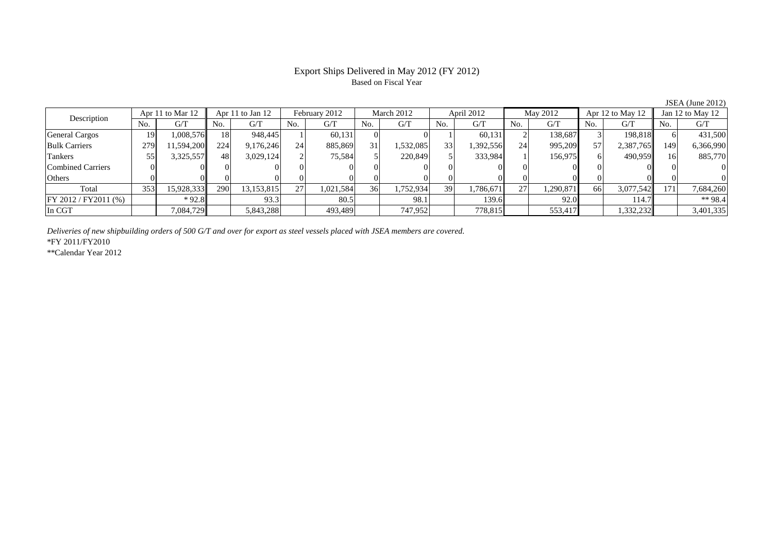#### Export Ships Delivered in May 2012 (FY 2012) Based on Fiscal Year

No. G/T No. G/T No. G/T No. G/T No. G/T No. G/T No. G/T No. G/T $G/T$ General Cargos ( 19 1,008,576 18 948,445 1 60,131 0 0 1 60,131 2 138,687 3 198,818 6 431,500 Bulk Carriers 279 11,594,200 224 9,176,246 24 885,869 31 1,532,085 33 1,392,556 24 995,209 57 2,387,765 149 6,366,990 Tankers | 55| 3,325,557|| 48| 3,029,124| 2| 75,584| 5| 220,849| 5| 333,984| 1| 156,975| 6| 490,959|| 16| 885,770 Combined Carriers 0 0 0 0 0 0 0 0 0 0 0 0 0 0 0 0Others 0 0 0 0 0 0 0 0 0 0 0 0 0 0 0 0Total 353 15,928,333 290 13,153,815 27 1,021,584 36 1,752,934 39 1,786,671 27 1,290,871 66 3,077,542 171 7,684,260 FY 2012 / FY2011 (%) \* 92.8 93.3 93.3 98.5 98.1 98.1 139.6 92.0 114.7 \*\* 98.4 In CGT | | 7,084,729|| | 5,843,288| | 493,489| | 747,952| | 778,815| | 553,417| | 1,332,232|| | 3,401,335 Description Apr 11 to Mar 12 Apr 11 to Jan 12 February 2012 March 2012 April 2012 May 2012 Apr 12 to May 12 Jan 12 to May 12

*Deliveries of new shipbuilding orders of 500 G/T and over for export as steel vessels placed with JSEA members are covered.*

\*FY 2011/FY2010

\*\*Calendar Year 2012

JSEA (June 2012)